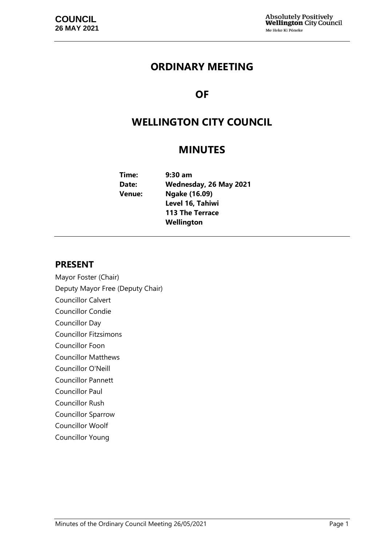# **ORDINARY MEETING**

# **OF**

# **WELLINGTON CITY COUNCIL**

# **MINUTES**

| Time:         | $9:30$ am              |
|---------------|------------------------|
| Date:         | Wednesday, 26 May 2021 |
| <b>Venue:</b> | Ngake (16.09)          |
|               | Level 16, Tahiwi       |
|               | <b>113 The Terrace</b> |
|               | Wellington             |

## **PRESENT**

Mayor Foster (Chair) Deputy Mayor Free (Deputy Chair) Councillor Calvert Councillor Condie Councillor Day Councillor Fitzsimons Councillor Foon Councillor Matthews Councillor O'Neill Councillor Pannett Councillor Paul Councillor Rush Councillor Sparrow Councillor Woolf Councillor Young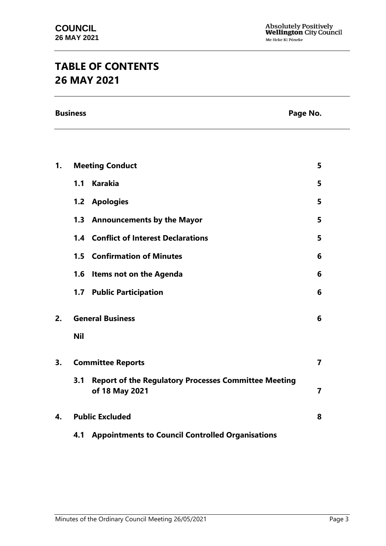# **TABLE OF CONTENTS 26 MAY 2021**

**Business Page No.**

| 1.                             | <b>Meeting Conduct</b>                                                               |                         |  |
|--------------------------------|--------------------------------------------------------------------------------------|-------------------------|--|
|                                | <b>Karakia</b><br>1.1                                                                | 5                       |  |
|                                | 1.2 Apologies                                                                        | 5                       |  |
|                                | 1.3 Announcements by the Mayor                                                       | 5                       |  |
|                                | <b>1.4 Conflict of Interest Declarations</b>                                         | 5                       |  |
|                                | <b>1.5 Confirmation of Minutes</b>                                                   | 6                       |  |
|                                | <b>Items not on the Agenda</b><br>1.6                                                | 6                       |  |
|                                | <b>Public Participation</b><br>1.7                                                   | 6                       |  |
| <b>General Business</b><br>2.  |                                                                                      | 6                       |  |
|                                | <b>Nil</b>                                                                           |                         |  |
| 3.<br><b>Committee Reports</b> |                                                                                      | $\overline{\mathbf{z}}$ |  |
|                                | 3.1<br><b>Report of the Regulatory Processes Committee Meeting</b><br>of 18 May 2021 | $\overline{7}$          |  |
| 4.                             | <b>Public Excluded</b>                                                               | 8                       |  |
|                                | 4.1 Appointments to Council Controlled Organisations                                 |                         |  |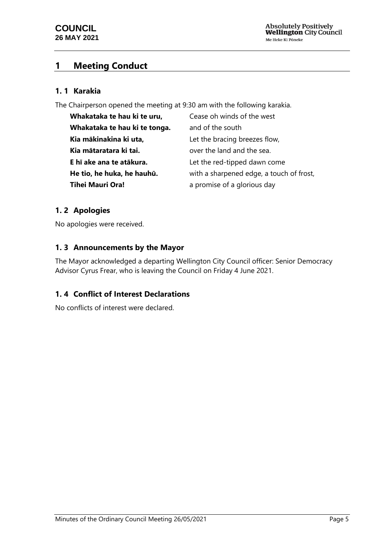## <span id="page-4-0"></span>**1 Meeting Conduct**

## **1. 1 Karakia**

The Chairperson opened the meeting at 9:30 am with the following karakia.

| Whakataka te hau ki te uru,   | Cease oh winds of the west               |
|-------------------------------|------------------------------------------|
| Whakataka te hau ki te tonga. | and of the south                         |
| Kia mākinakina ki uta,        | Let the bracing breezes flow,            |
| Kia mātaratara ki tai.        | over the land and the sea.               |
| E hī ake ana te atākura.      | Let the red-tipped dawn come             |
| He tio, he huka, he hauhū.    | with a sharpened edge, a touch of frost, |
| <b>Tihei Mauri Ora!</b>       | a promise of a glorious day              |

## <span id="page-4-1"></span>**1. 2 Apologies**

No apologies were received.

## <span id="page-4-2"></span>**1. 3 Announcements by the Mayor**

The Mayor acknowledged a departing Wellington City Council officer: Senior Democracy Advisor Cyrus Frear, who is leaving the Council on Friday 4 June 2021.

## <span id="page-4-3"></span>**1. 4 Conflict of Interest Declarations**

No conflicts of interest were declared.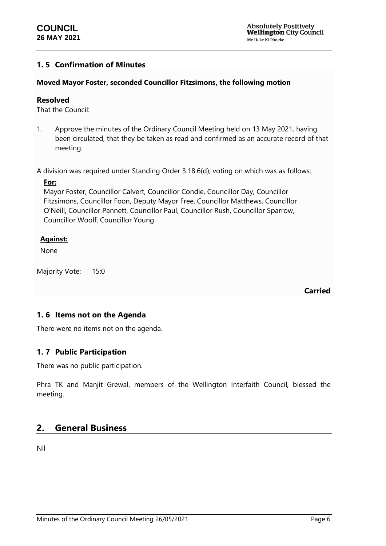### <span id="page-5-0"></span>**1. 5 Confirmation of Minutes**

#### **Moved Mayor Foster, seconded Councillor Fitzsimons, the following motion**

#### **Resolved**

That the Council:

1. Approve the minutes of the Ordinary Council Meeting held on 13 May 2021, having been circulated, that they be taken as read and confirmed as an accurate record of that meeting.

A division was required under Standing Order 3.18.6(d), voting on which was as follows:

#### **For:**

Mayor Foster, Councillor Calvert, Councillor Condie, Councillor Day, Councillor Fitzsimons, Councillor Foon, Deputy Mayor Free, Councillor Matthews, Councillor O'Neill, Councillor Pannett, Councillor Paul, Councillor Rush, Councillor Sparrow, Councillor Woolf, Councillor Young

#### **Against:**

None

Majority Vote: 15:0

**Carried**

## <span id="page-5-1"></span>**1. 6 Items not on the Agenda**

There were no items not on the agenda.

## <span id="page-5-2"></span>**1. 7 Public Participation**

There was no public participation.

Phra TK and Manjit Grewal, members of the Wellington Interfaith Council, blessed the meeting.

## <span id="page-5-3"></span>**2. General Business**

Nil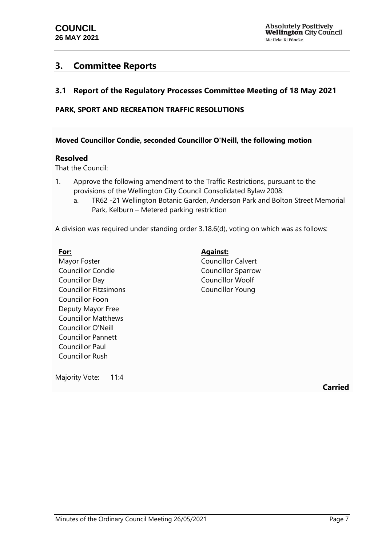## <span id="page-6-0"></span>**3. Committee Reports**

## <span id="page-6-1"></span>**3.1 Report of the Regulatory Processes Committee Meeting of 18 May 2021**

### **PARK, SPORT AND RECREATION TRAFFIC RESOLUTIONS**

#### **Moved Councillor Condie, seconded Councillor O'Neill, the following motion**

#### **Resolved**

That the Council:

- 1. Approve the following amendment to the Traffic Restrictions, pursuant to the provisions of the Wellington City Council Consolidated Bylaw 2008:
	- a. TR62 -21 Wellington Botanic Garden, Anderson Park and Bolton Street Memorial Park, Kelburn – Metered parking restriction

A division was required under standing order 3.18.6(d), voting on which was as follows:

#### **For:**

Mayor Foster Councillor Condie Councillor Day Councillor Fitzsimons Councillor Foon Deputy Mayor Free Councillor Matthews Councillor O'Neill Councillor Pannett Councillor Paul Councillor Rush

## **Against:**

Councillor Calvert Councillor Sparrow Councillor Woolf Councillor Young

Majority Vote: 11:4

**Carried**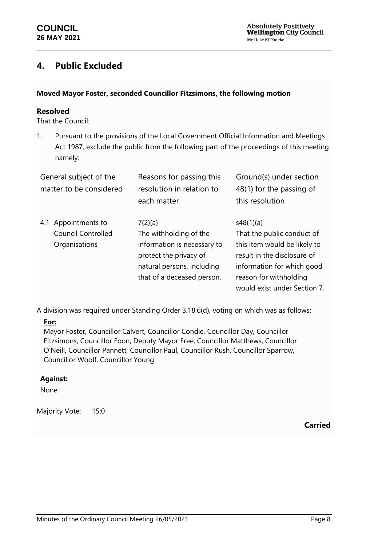## <span id="page-7-0"></span>**4. Public Excluded**

#### **Moved Mayor Foster, seconded Councillor Fitzsimons, the following motion**

## **Resolved**

That the Council:

1. Pursuant to the provisions of the Local Government Official Information and Meetings Act 1987, exclude the public from the following part of the proceedings of this meeting namely:

| General subject of the<br>matter to be considered                    | Reasons for passing this<br>resolution in relation to<br>each matter                                                                                   | Ground(s) under section<br>48(1) for the passing of<br>this resolution                                                                                                                         |
|----------------------------------------------------------------------|--------------------------------------------------------------------------------------------------------------------------------------------------------|------------------------------------------------------------------------------------------------------------------------------------------------------------------------------------------------|
| Appointments to<br>4.1<br><b>Council Controlled</b><br>Organisations | 7(2)(a)<br>The withholding of the<br>information is necessary to<br>protect the privacy of<br>natural persons, including<br>that of a deceased person. | s48(1)(a)<br>That the public conduct of<br>this item would be likely to<br>result in the disclosure of<br>information for which good<br>reason for withholding<br>would exist under Section 7. |

A division was required under Standing Order 3.18.6(d), voting on which was as follows:

#### **For:**

Mayor Foster, Councillor Calvert, Councillor Condie, Councillor Day, Councillor Fitzsimons, Councillor Foon, Deputy Mayor Free, Councillor Matthews, Councillor O'Neill, Councillor Pannett, Councillor Paul, Councillor Rush, Councillor Sparrow, Councillor Woolf, Councillor Young

#### **Against:**

None

Majority Vote: 15:0

**Carried**